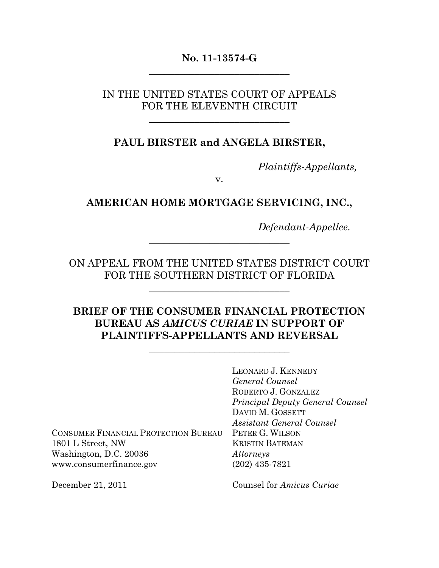### **No. 11-13574-G**  \_\_\_\_\_\_\_\_\_\_\_\_\_\_\_\_\_\_\_\_\_\_\_\_\_\_\_\_

### IN THE UNITED STATES COURT OF APPEALS FOR THE ELEVENTH CIRCUIT

\_\_\_\_\_\_\_\_\_\_\_\_\_\_\_\_\_\_\_\_\_\_\_\_\_\_\_\_

### **PAUL BIRSTER and ANGELA BIRSTER,**

*Plaintiffs-Appellants,* 

v.

### **AMERICAN HOME MORTGAGE SERVICING, INC.,**

*Defendant-Appellee.* 

ON APPEAL FROM THE UNITED STATES DISTRICT COURT FOR THE SOUTHERN DISTRICT OF FLORIDA

\_\_\_\_\_\_\_\_\_\_\_\_\_\_\_\_\_\_\_\_\_\_\_\_\_\_\_\_

\_\_\_\_\_\_\_\_\_\_\_\_\_\_\_\_\_\_\_\_\_\_\_\_\_\_\_\_

## **BRIEF OF THE CONSUMER FINANCIAL PROTECTION BUREAU AS** *AMICUS CURIAE* **IN SUPPORT OF PLAINTIFFS-APPELLANTS AND REVERSAL**

\_\_\_\_\_\_\_\_\_\_\_\_\_\_\_\_\_\_\_\_\_\_\_\_\_\_\_\_

CONSUMER FINANCIAL PROTECTION BUREAU PETER G. WILSON 1801 L Street, NW KRISTIN BATEMAN Washington, D.C. 20036 *Attorneys* www.consumerfinance.gov (202) 435-7821

LEONARD J. KENNEDY *General Counsel*  ROBERTO J. GONZALEZ *Principal Deputy General Counsel*  DAVID M. GOSSETT *Assistant General Counsel* 

December 21, 2011 Counsel for *Amicus Curiae*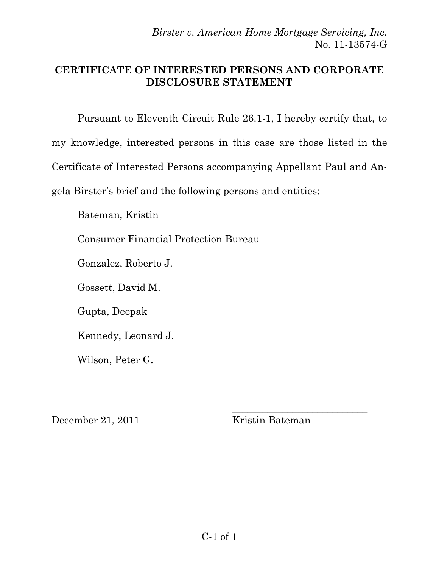## **CERTIFICATE OF INTERESTED PERSONS AND CORPORATE DISCLOSURE STATEMENT**

Pursuant to Eleventh Circuit Rule 26.1-1, I hereby certify that, to my knowledge, interested persons in this case are those listed in the Certificate of Interested Persons accompanying Appellant Paul and Angela Birster's brief and the following persons and entities:

Bateman, Kristin

Consumer Financial Protection Bureau

Gonzalez, Roberto J.

Gossett, David M.

Gupta, Deepak

Kennedy, Leonard J.

Wilson, Peter G.

December 21, 2011 Kristin Bateman

**\_\_\_\_\_\_\_\_\_\_\_\_\_\_\_\_\_\_\_\_\_\_\_\_\_\_\_**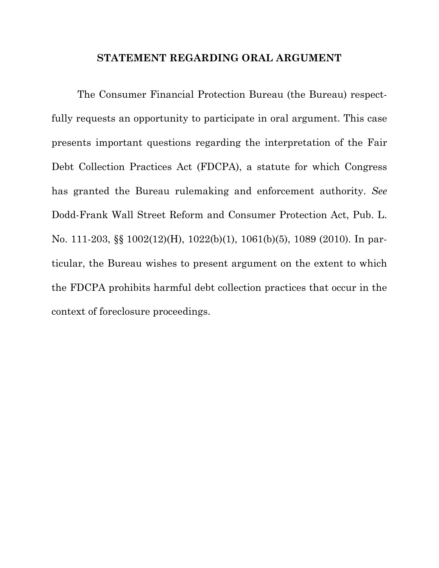### **STATEMENT REGARDING ORAL ARGUMENT**

The Consumer Financial Protection Bureau (the Bureau) respectfully requests an opportunity to participate in oral argument. This case presents important questions regarding the interpretation of the Fair Debt Collection Practices Act (FDCPA), a statute for which Congress has granted the Bureau rulemaking and enforcement authority. *See* Dodd-Frank Wall Street Reform and Consumer Protection Act, Pub. L. No. 111-203, §§ 1002(12)(H), 1022(b)(1), 1061(b)(5), 1089 (2010). In particular, the Bureau wishes to present argument on the extent to which the FDCPA prohibits harmful debt collection practices that occur in the context of foreclosure proceedings.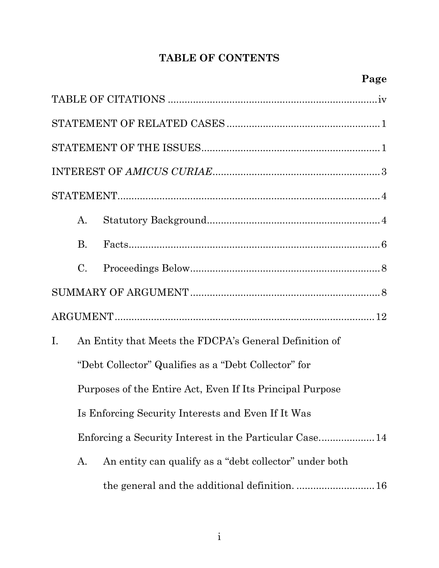# **TABLE OF CONTENTS**

|                | $\begin{minipage}{.4\linewidth} \textbf{STATEMENT OF THE ISSUES} \end{minipage} \begin{minipage}{.4\linewidth} \textbf{0} \end{minipage} \begin{minipage}{.4\linewidth} \textbf{0} \end{minipage} \begin{minipage}{.4\linewidth} \textbf{1} \end{minipage} \begin{minipage}{.4\linewidth} \textbf{1} \end{minipage} \begin{minipage}{.4\linewidth} \textbf{1} \end{minipage} \begin{minipage}{.4\linewidth} \textbf{1} \end{minipage} \begin{minipage}{.4\linewidth} \textbf{1} \end{minipage} \begin{minipage}{.4\linewidth} \textbf$ |                                                        |  |  |  |
|----------------|----------------------------------------------------------------------------------------------------------------------------------------------------------------------------------------------------------------------------------------------------------------------------------------------------------------------------------------------------------------------------------------------------------------------------------------------------------------------------------------------------------------------------------------|--------------------------------------------------------|--|--|--|
|                |                                                                                                                                                                                                                                                                                                                                                                                                                                                                                                                                        |                                                        |  |  |  |
|                |                                                                                                                                                                                                                                                                                                                                                                                                                                                                                                                                        |                                                        |  |  |  |
|                | A.                                                                                                                                                                                                                                                                                                                                                                                                                                                                                                                                     |                                                        |  |  |  |
|                | <b>B.</b>                                                                                                                                                                                                                                                                                                                                                                                                                                                                                                                              |                                                        |  |  |  |
|                | $C_{\cdot}$                                                                                                                                                                                                                                                                                                                                                                                                                                                                                                                            |                                                        |  |  |  |
|                |                                                                                                                                                                                                                                                                                                                                                                                                                                                                                                                                        |                                                        |  |  |  |
|                |                                                                                                                                                                                                                                                                                                                                                                                                                                                                                                                                        |                                                        |  |  |  |
| $\mathbf{I}$ . |                                                                                                                                                                                                                                                                                                                                                                                                                                                                                                                                        | An Entity that Meets the FDCPA's General Definition of |  |  |  |
|                | "Debt Collector" Qualifies as a "Debt Collector" for                                                                                                                                                                                                                                                                                                                                                                                                                                                                                   |                                                        |  |  |  |
|                | Purposes of the Entire Act, Even If Its Principal Purpose                                                                                                                                                                                                                                                                                                                                                                                                                                                                              |                                                        |  |  |  |
|                | Is Enforcing Security Interests and Even If It Was                                                                                                                                                                                                                                                                                                                                                                                                                                                                                     |                                                        |  |  |  |
|                |                                                                                                                                                                                                                                                                                                                                                                                                                                                                                                                                        |                                                        |  |  |  |
|                | А.                                                                                                                                                                                                                                                                                                                                                                                                                                                                                                                                     | An entity can qualify as a "debt collector" under both |  |  |  |
|                |                                                                                                                                                                                                                                                                                                                                                                                                                                                                                                                                        |                                                        |  |  |  |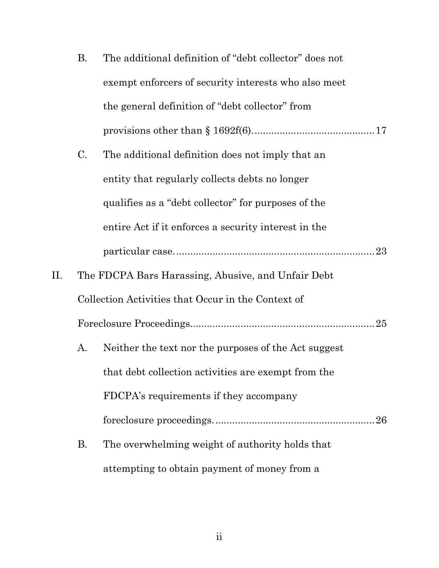|     | Β.        | The additional definition of "debt collector" does not |
|-----|-----------|--------------------------------------------------------|
|     |           | exempt enforcers of security interests who also meet   |
|     |           | the general definition of "debt collector" from        |
|     |           |                                                        |
|     | C.        | The additional definition does not imply that an       |
|     |           | entity that regularly collects debts no longer         |
|     |           | qualifies as a "debt collector" for purposes of the    |
|     |           | entire Act if it enforces a security interest in the   |
|     |           |                                                        |
| II. |           | The FDCPA Bars Harassing, Abusive, and Unfair Debt     |
|     |           | Collection Activities that Occur in the Context of     |
|     |           |                                                        |
|     | А.        | Neither the text nor the purposes of the Act suggest   |
|     |           | that debt collection activities are exempt from the    |
|     |           | FDCPA's requirements if they accompany                 |
|     |           | 26                                                     |
|     | <b>B.</b> | The overwhelming weight of authority holds that        |
|     |           | attempting to obtain payment of money from a           |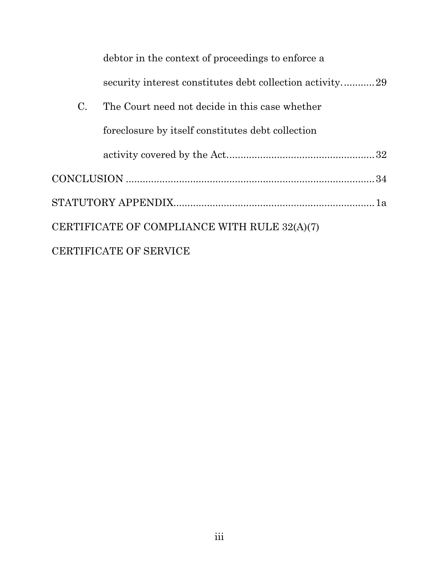|             | debtor in the context of proceedings to enforce a        |  |
|-------------|----------------------------------------------------------|--|
|             | security interest constitutes debt collection activity29 |  |
| $C_{\cdot}$ | The Court need not decide in this case whether           |  |
|             | foreclosure by itself constitutes debt collection        |  |
|             |                                                          |  |
|             |                                                          |  |
|             |                                                          |  |
|             | CERTIFICATE OF COMPLIANCE WITH RULE 32(A)(7)             |  |
|             | <b>CERTIFICATE OF SERVICE</b>                            |  |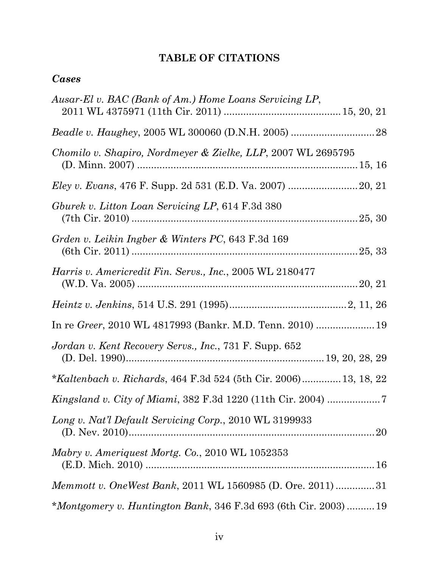# **TABLE OF CITATIONS**

## *Cases*

| Ausar-El v. BAC (Bank of Am.) Home Loans Servicing LP,            |
|-------------------------------------------------------------------|
|                                                                   |
| Chomilo v. Shapiro, Nordmeyer & Zielke, LLP, 2007 WL 2695795      |
|                                                                   |
| Gburek v. Litton Loan Servicing LP, 614 F.3d 380                  |
| Grden v. Leikin Ingber & Winters PC, 643 F.3d 169                 |
| <i>Harris v. Americredit Fin. Servs., Inc., 2005 WL 2180477</i>   |
|                                                                   |
| In re <i>Greer</i> , 2010 WL 4817993 (Bankr. M.D. Tenn. 2010)  19 |
| Jordan v. Kent Recovery Servs., Inc., 731 F. Supp. 652            |
| *Kaltenbach v. Richards, 464 F.3d 524 (5th Cir. 2006) 13, 18, 22  |
|                                                                   |
| Long v. Nat'l Default Servicing Corp., 2010 WL 3199933            |
| Mabry v. Ameriquest Mortg. Co., 2010 WL 1052353                   |
| Memmott v. OneWest Bank, 2011 WL 1560985 (D. Ore. 2011)  31       |
| *Montgomery v. Huntington Bank, 346 F.3d 693 (6th Cir. 2003)  19  |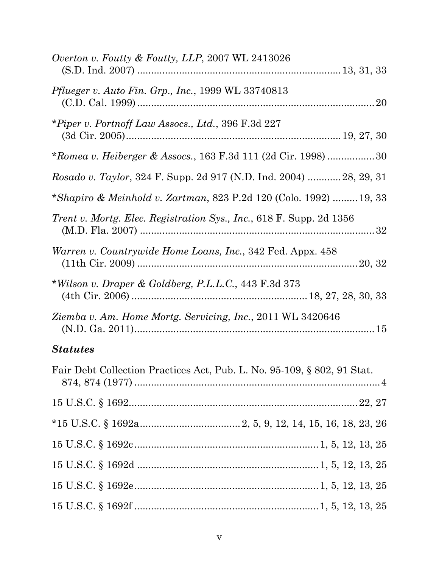| Overton v. Foutty & Foutty, LLP, 2007 WL 2413026                           |
|----------------------------------------------------------------------------|
| <i>Pflueger v. Auto Fin. Grp., Inc.,</i> 1999 WL $33740813$                |
| *Piper v. Portnoff Law Assocs., Ltd., 396 F.3d 227                         |
| *Romea v. Heiberger & Assocs., 163 F.3d 111 (2d Cir. 1998) 30              |
| <i>Rosado v. Taylor</i> , 324 F. Supp. 2d 917 (N.D. Ind. 2004)  28, 29, 31 |
| *Shapiro & Meinhold v. Zartman, 823 P.2d 120 (Colo. 1992)  19, 33          |
| <i>Trent v. Mortg. Elec. Registration Sys., Inc., 618 F. Supp. 2d 1356</i> |
| <i>Warren v. Countrywide Home Loans, Inc., 342 Fed. Appx. 458</i>          |
| *Wilson v. Draper & Goldberg, P.L.L.C., 443 F.3d 373                       |
| Ziemba v. Am. Home Mortg. Servicing, Inc., 2011 WL 3420646                 |
| <b>Statutes</b>                                                            |
| Fair Debt Collection Practices Act, Pub. L. No. 95-109, § 802, 91 Stat.    |
|                                                                            |
|                                                                            |
|                                                                            |
|                                                                            |
|                                                                            |
|                                                                            |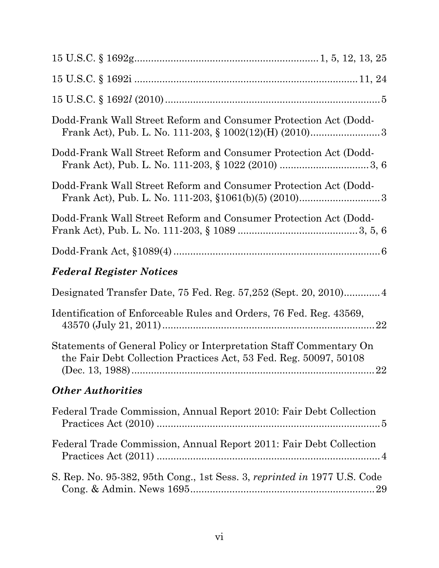| Dodd-Frank Wall Street Reform and Consumer Protection Act (Dodd-                                                                                                 |
|------------------------------------------------------------------------------------------------------------------------------------------------------------------|
| Dodd-Frank Wall Street Reform and Consumer Protection Act (Dodd-                                                                                                 |
| Dodd-Frank Wall Street Reform and Consumer Protection Act (Dodd-                                                                                                 |
| Dodd-Frank Wall Street Reform and Consumer Protection Act (Dodd-                                                                                                 |
|                                                                                                                                                                  |
| <b>Federal Register Notices</b>                                                                                                                                  |
|                                                                                                                                                                  |
| Identification of Enforceable Rules and Orders, 76 Fed. Reg. 43569,                                                                                              |
| Statements of General Policy or Interpretation Staff Commentary On<br>the Fair Debt Collection Practices Act, 53 Fed. Reg. 50097, 50108<br>22<br>(Dec. 13, 1988) |
| <b>Other Authorities</b>                                                                                                                                         |
| Federal Trade Commission, Annual Report 2010: Fair Debt Collection                                                                                               |
| Federal Trade Commission, Annual Report 2011: Fair Debt Collection                                                                                               |
| S. Rep. No. 95-382, 95th Cong., 1st Sess. 3, reprinted in 1977 U.S. Code                                                                                         |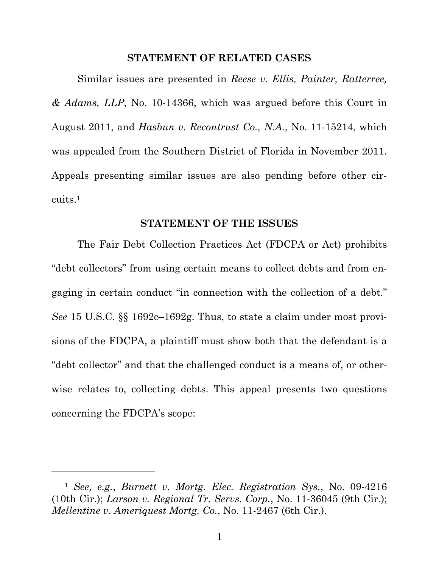#### **STATEMENT OF RELATED CASES**

Similar issues are presented in *Reese v. Ellis, Painter, Ratterree, & Adams, LLP*, No. 10-14366, which was argued before this Court in August 2011, and *Hasbun v. Recontrust Co., N.A.*, No. 11-15214, which was appealed from the Southern District of Florida in November 2011. Appeals presenting similar issues are also pending before other circuits.1

#### **STATEMENT OF THE ISSUES**

The Fair Debt Collection Practices Act (FDCPA or Act) prohibits "debt collectors" from using certain means to collect debts and from engaging in certain conduct "in connection with the collection of a debt." *See* 15 U.S.C. §§ 1692c–1692g. Thus, to state a claim under most provisions of the FDCPA, a plaintiff must show both that the defendant is a "debt collector" and that the challenged conduct is a means of, or otherwise relates to, collecting debts. This appeal presents two questions concerning the FDCPA's scope:

 $\overline{a}$ 

<sup>1</sup> *See, e.g.*, *Burnett v. Mortg. Elec. Registration Sys.*, No. 09-4216 (10th Cir.); *Larson v. Regional Tr. Servs. Corp.*, No. 11-36045 (9th Cir.); *Mellentine v. Ameriquest Mortg. Co.*, No. 11-2467 (6th Cir.).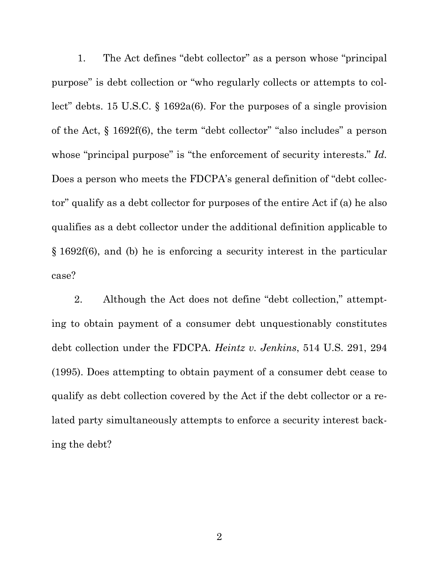1. The Act defines "debt collector" as a person whose "principal purpose" is debt collection or "who regularly collects or attempts to collect" debts. 15 U.S.C. § 1692a(6). For the purposes of a single provision of the Act, § 1692f(6), the term "debt collector" "also includes" a person whose "principal purpose" is "the enforcement of security interests." *Id.* Does a person who meets the FDCPA's general definition of "debt collector" qualify as a debt collector for purposes of the entire Act if (a) he also qualifies as a debt collector under the additional definition applicable to § 1692f(6), and (b) he is enforcing a security interest in the particular case?

2. Although the Act does not define "debt collection," attempting to obtain payment of a consumer debt unquestionably constitutes debt collection under the FDCPA. *Heintz v. Jenkins*, 514 U.S. 291, 294 (1995). Does attempting to obtain payment of a consumer debt cease to qualify as debt collection covered by the Act if the debt collector or a related party simultaneously attempts to enforce a security interest backing the debt?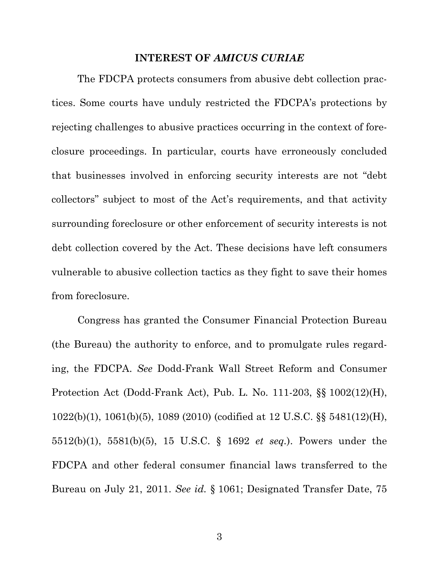#### **INTEREST OF** *AMICUS CURIAE*

The FDCPA protects consumers from abusive debt collection practices. Some courts have unduly restricted the FDCPA's protections by rejecting challenges to abusive practices occurring in the context of foreclosure proceedings. In particular, courts have erroneously concluded that businesses involved in enforcing security interests are not "debt collectors" subject to most of the Act's requirements, and that activity surrounding foreclosure or other enforcement of security interests is not debt collection covered by the Act. These decisions have left consumers vulnerable to abusive collection tactics as they fight to save their homes from foreclosure.

Congress has granted the Consumer Financial Protection Bureau (the Bureau) the authority to enforce, and to promulgate rules regarding, the FDCPA. *See* Dodd-Frank Wall Street Reform and Consumer Protection Act (Dodd-Frank Act), Pub. L. No. 111-203, §§ 1002(12)(H), 1022(b)(1), 1061(b)(5), 1089 (2010) (codified at 12 U.S.C. §§ 5481(12)(H), 5512(b)(1), 5581(b)(5), 15 U.S.C. § 1692 *et seq.*). Powers under the FDCPA and other federal consumer financial laws transferred to the Bureau on July 21, 2011. *See id.* § 1061; Designated Transfer Date, 75

3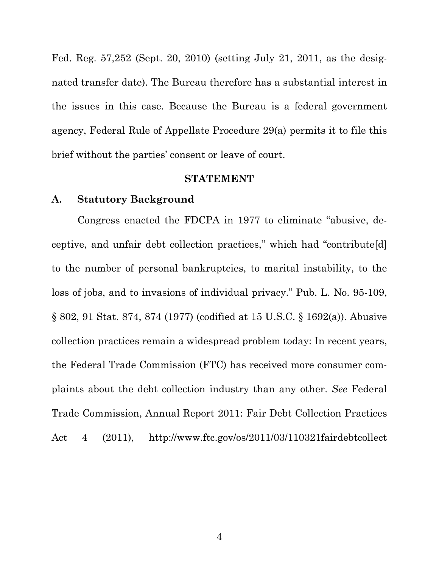Fed. Reg. 57,252 (Sept. 20, 2010) (setting July 21, 2011, as the designated transfer date). The Bureau therefore has a substantial interest in the issues in this case. Because the Bureau is a federal government agency, Federal Rule of Appellate Procedure 29(a) permits it to file this brief without the parties' consent or leave of court.

### **STATEMENT**

#### **A. Statutory Background**

Congress enacted the FDCPA in 1977 to eliminate "abusive, deceptive, and unfair debt collection practices," which had "contribute[d] to the number of personal bankruptcies, to marital instability, to the loss of jobs, and to invasions of individual privacy." Pub. L. No. 95-109, § 802, 91 Stat. 874, 874 (1977) (codified at 15 U.S.C. § 1692(a)). Abusive collection practices remain a widespread problem today: In recent years, the Federal Trade Commission (FTC) has received more consumer complaints about the debt collection industry than any other. *See* Federal Trade Commission, Annual Report 2011: Fair Debt Collection Practices Act 4 (2011), http://www.ftc.gov/os/2011/03/110321fairdebtcollect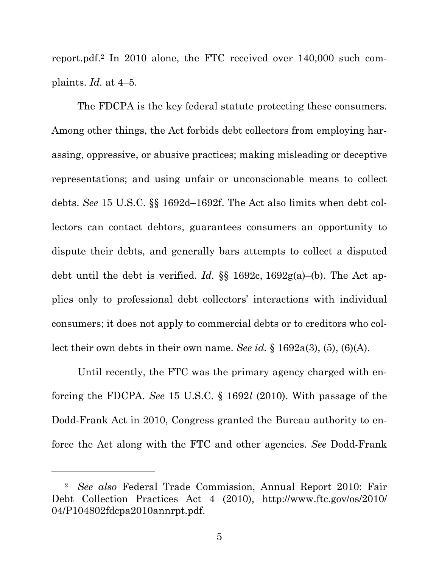report.pdf.2 In 2010 alone, the FTC received over 140,000 such complaints. *Id.* at 4–5.

The FDCPA is the key federal statute protecting these consumers. Among other things, the Act forbids debt collectors from employing harassing, oppressive, or abusive practices; making misleading or deceptive representations; and using unfair or unconscionable means to collect debts. *See* 15 U.S.C. §§ 1692d–1692f. The Act also limits when debt collectors can contact debtors, guarantees consumers an opportunity to dispute their debts, and generally bars attempts to collect a disputed debt until the debt is verified. *Id.* §§ 1692c, 1692g(a)–(b). The Act applies only to professional debt collectors' interactions with individual consumers; it does not apply to commercial debts or to creditors who collect their own debts in their own name. *See id.* § 1692a(3), (5), (6)(A).

Until recently, the FTC was the primary agency charged with enforcing the FDCPA. *See* 15 U.S.C. § 1692*l* (2010). With passage of the Dodd-Frank Act in 2010, Congress granted the Bureau authority to enforce the Act along with the FTC and other agencies. *See* Dodd-Frank

 $\overline{a}$ 

<sup>2</sup> *See also* Federal Trade Commission, Annual Report 2010: Fair Debt Collection Practices Act 4 (2010), http://www.ftc.gov/os/2010/ 04/P104802fdcpa2010annrpt.pdf.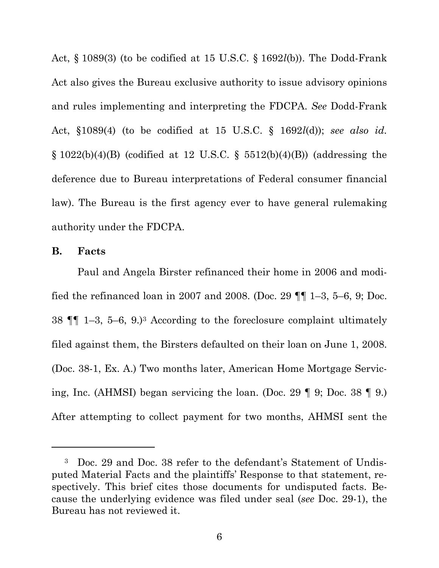Act, § 1089(3) (to be codified at 15 U.S.C. § 1692*l*(b)). The Dodd-Frank Act also gives the Bureau exclusive authority to issue advisory opinions and rules implementing and interpreting the FDCPA. *See* Dodd-Frank Act, §1089(4) (to be codified at 15 U.S.C. § 1692*l*(d)); *see also id.*  $\S 1022(b)(4)(B)$  (codified at 12 U.S.C.  $\S 5512(b)(4)(B)$ ) (addressing the deference due to Bureau interpretations of Federal consumer financial law). The Bureau is the first agency ever to have general rulemaking authority under the FDCPA.

#### **B. Facts**

 $\overline{a}$ 

Paul and Angela Birster refinanced their home in 2006 and modified the refinanced loan in 2007 and 2008. (Doc. 29  $\P\P$  1–3, 5–6, 9; Doc. 38 ¶¶ 1–3, 5–6, 9.)3 According to the foreclosure complaint ultimately filed against them, the Birsters defaulted on their loan on June 1, 2008. (Doc. 38-1, Ex. A.) Two months later, American Home Mortgage Servicing, Inc. (AHMSI) began servicing the loan. (Doc. 29 ¶ 9; Doc. 38 ¶ 9.) After attempting to collect payment for two months, AHMSI sent the

<sup>3</sup> Doc. 29 and Doc. 38 refer to the defendant's Statement of Undisputed Material Facts and the plaintiffs' Response to that statement, respectively. This brief cites those documents for undisputed facts. Because the underlying evidence was filed under seal (*see* Doc. 29-1), the Bureau has not reviewed it.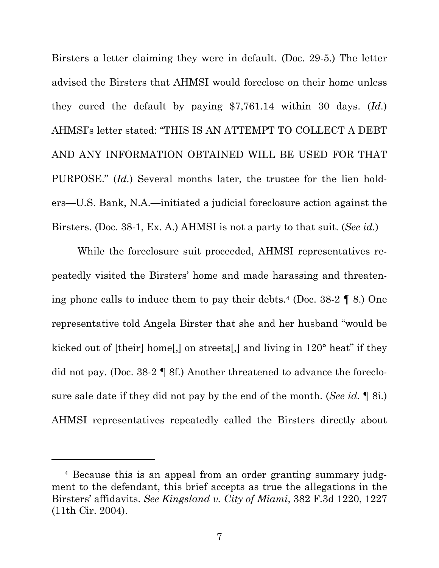Birsters a letter claiming they were in default. (Doc. 29-5.) The letter advised the Birsters that AHMSI would foreclose on their home unless they cured the default by paying \$7,761.14 within 30 days. (*Id.*) AHMSI's letter stated: "THIS IS AN ATTEMPT TO COLLECT A DEBT AND ANY INFORMATION OBTAINED WILL BE USED FOR THAT PURPOSE." (*Id.*) Several months later, the trustee for the lien holders—U.S. Bank, N.A.—initiated a judicial foreclosure action against the Birsters. (Doc. 38-1, Ex. A.) AHMSI is not a party to that suit. (*See id.*)

While the foreclosure suit proceeded, AHMSI representatives repeatedly visited the Birsters' home and made harassing and threatening phone calls to induce them to pay their debts.<sup>4</sup> (Doc. 38-2  $\P$  8.) One representative told Angela Birster that she and her husband "would be kicked out of [their] home[,] on streets[,] and living in 120° heat" if they did not pay. (Doc. 38-2 ¶ 8f.) Another threatened to advance the foreclosure sale date if they did not pay by the end of the month. (*See id.* ¶ 8i.) AHMSI representatives repeatedly called the Birsters directly about

 $\overline{a}$ 

<sup>4</sup> Because this is an appeal from an order granting summary judgment to the defendant, this brief accepts as true the allegations in the Birsters' affidavits. *See Kingsland v. City of Miami*, 382 F.3d 1220, 1227 (11th Cir. 2004).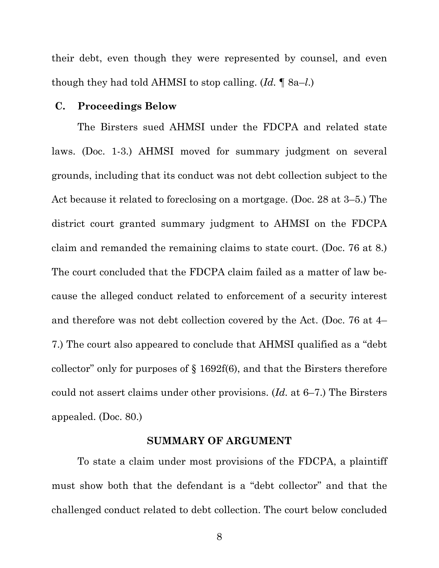their debt, even though they were represented by counsel, and even though they had told AHMSI to stop calling. (*Id.* ¶ 8a–*l*.)

#### **C. Proceedings Below**

The Birsters sued AHMSI under the FDCPA and related state laws. (Doc. 1-3.) AHMSI moved for summary judgment on several grounds, including that its conduct was not debt collection subject to the Act because it related to foreclosing on a mortgage. (Doc. 28 at 3–5.) The district court granted summary judgment to AHMSI on the FDCPA claim and remanded the remaining claims to state court. (Doc. 76 at 8.) The court concluded that the FDCPA claim failed as a matter of law because the alleged conduct related to enforcement of a security interest and therefore was not debt collection covered by the Act. (Doc. 76 at 4– 7.) The court also appeared to conclude that AHMSI qualified as a "debt collector" only for purposes of § 1692f(6), and that the Birsters therefore could not assert claims under other provisions. (*Id.* at 6–7.) The Birsters appealed. (Doc. 80.)

#### **SUMMARY OF ARGUMENT**

To state a claim under most provisions of the FDCPA, a plaintiff must show both that the defendant is a "debt collector" and that the challenged conduct related to debt collection. The court below concluded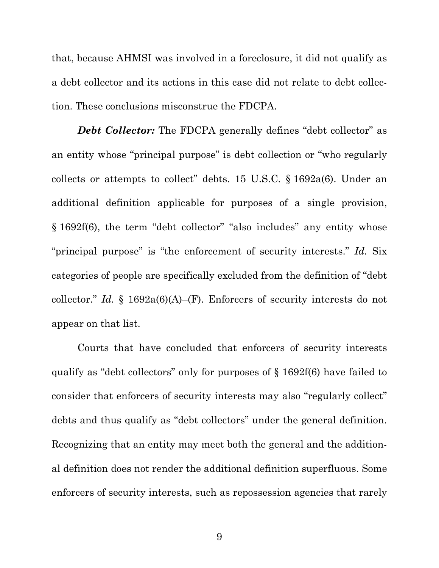that, because AHMSI was involved in a foreclosure, it did not qualify as a debt collector and its actions in this case did not relate to debt collection. These conclusions misconstrue the FDCPA.

**Debt Collector:** The FDCPA generally defines "debt collector" as an entity whose "principal purpose" is debt collection or "who regularly collects or attempts to collect" debts. 15 U.S.C. § 1692a(6). Under an additional definition applicable for purposes of a single provision, § 1692f(6), the term "debt collector" "also includes" any entity whose "principal purpose" is "the enforcement of security interests." *Id.* Six categories of people are specifically excluded from the definition of "debt collector." *Id.* § 1692a(6)(A)–(F). Enforcers of security interests do not appear on that list.

Courts that have concluded that enforcers of security interests qualify as "debt collectors" only for purposes of § 1692f(6) have failed to consider that enforcers of security interests may also "regularly collect" debts and thus qualify as "debt collectors" under the general definition. Recognizing that an entity may meet both the general and the additional definition does not render the additional definition superfluous. Some enforcers of security interests, such as repossession agencies that rarely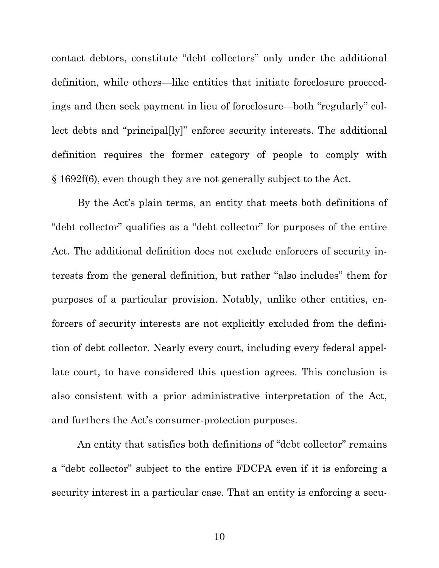contact debtors, constitute "debt collectors" only under the additional definition, while others—like entities that initiate foreclosure proceedings and then seek payment in lieu of foreclosure—both "regularly" collect debts and "principal[ly]" enforce security interests. The additional definition requires the former category of people to comply with § 1692f(6), even though they are not generally subject to the Act.

By the Act's plain terms, an entity that meets both definitions of "debt collector" qualifies as a "debt collector" for purposes of the entire Act. The additional definition does not exclude enforcers of security interests from the general definition, but rather "also includes" them for purposes of a particular provision. Notably, unlike other entities, enforcers of security interests are not explicitly excluded from the definition of debt collector. Nearly every court, including every federal appellate court, to have considered this question agrees. This conclusion is also consistent with a prior administrative interpretation of the Act, and furthers the Act's consumer-protection purposes.

An entity that satisfies both definitions of "debt collector" remains a "debt collector" subject to the entire FDCPA even if it is enforcing a security interest in a particular case. That an entity is enforcing a secu-

10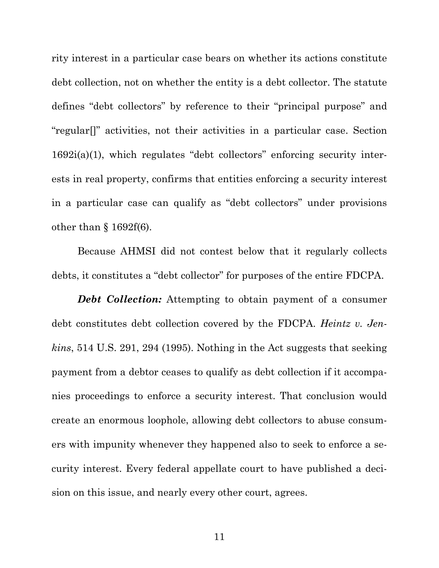rity interest in a particular case bears on whether its actions constitute debt collection, not on whether the entity is a debt collector. The statute defines "debt collectors" by reference to their "principal purpose" and "regular[]" activities, not their activities in a particular case. Section 1692i(a)(1), which regulates "debt collectors" enforcing security interests in real property, confirms that entities enforcing a security interest in a particular case can qualify as "debt collectors" under provisions other than  $\S$  1692f(6).

Because AHMSI did not contest below that it regularly collects debts, it constitutes a "debt collector" for purposes of the entire FDCPA.

*Debt Collection:* Attempting to obtain payment of a consumer debt constitutes debt collection covered by the FDCPA. *Heintz v. Jenkins*, 514 U.S. 291, 294 (1995). Nothing in the Act suggests that seeking payment from a debtor ceases to qualify as debt collection if it accompanies proceedings to enforce a security interest. That conclusion would create an enormous loophole, allowing debt collectors to abuse consumers with impunity whenever they happened also to seek to enforce a security interest. Every federal appellate court to have published a decision on this issue, and nearly every other court, agrees.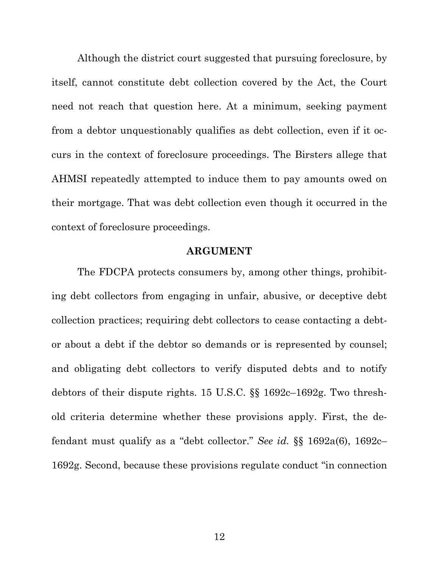Although the district court suggested that pursuing foreclosure, by itself, cannot constitute debt collection covered by the Act, the Court need not reach that question here. At a minimum, seeking payment from a debtor unquestionably qualifies as debt collection, even if it occurs in the context of foreclosure proceedings. The Birsters allege that AHMSI repeatedly attempted to induce them to pay amounts owed on their mortgage. That was debt collection even though it occurred in the context of foreclosure proceedings.

#### **ARGUMENT**

The FDCPA protects consumers by, among other things, prohibiting debt collectors from engaging in unfair, abusive, or deceptive debt collection practices; requiring debt collectors to cease contacting a debtor about a debt if the debtor so demands or is represented by counsel; and obligating debt collectors to verify disputed debts and to notify debtors of their dispute rights. 15 U.S.C. §§ 1692c–1692g. Two threshold criteria determine whether these provisions apply. First, the defendant must qualify as a "debt collector." *See id.* §§ 1692a(6), 1692c– 1692g. Second, because these provisions regulate conduct "in connection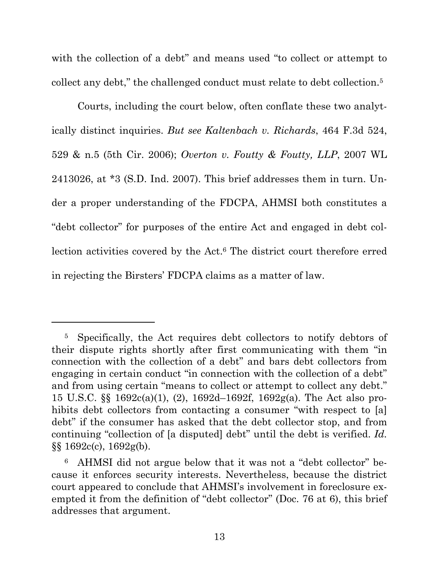with the collection of a debt" and means used "to collect or attempt to collect any debt," the challenged conduct must relate to debt collection.5

Courts, including the court below, often conflate these two analytically distinct inquiries. *But see Kaltenbach v. Richards*, 464 F.3d 524, 529 & n.5 (5th Cir. 2006); *Overton v. Foutty & Foutty, LLP*, 2007 WL 2413026, at \*3 (S.D. Ind. 2007). This brief addresses them in turn. Under a proper understanding of the FDCPA, AHMSI both constitutes a "debt collector" for purposes of the entire Act and engaged in debt collection activities covered by the Act.6 The district court therefore erred in rejecting the Birsters' FDCPA claims as a matter of law.

-

<sup>&</sup>lt;sup>5</sup> Specifically, the Act requires debt collectors to notify debtors of their dispute rights shortly after first communicating with them "in connection with the collection of a debt" and bars debt collectors from engaging in certain conduct "in connection with the collection of a debt" and from using certain "means to collect or attempt to collect any debt." 15 U.S.C. §§ 1692c(a)(1), (2), 1692d–1692f, 1692g(a). The Act also prohibits debt collectors from contacting a consumer "with respect to [a] debt" if the consumer has asked that the debt collector stop, and from continuing "collection of [a disputed] debt" until the debt is verified. *Id.* §§ 1692c(c), 1692g(b).

<sup>6</sup> AHMSI did not argue below that it was not a "debt collector" because it enforces security interests. Nevertheless, because the district court appeared to conclude that AHMSI's involvement in foreclosure exempted it from the definition of "debt collector" (Doc. 76 at 6), this brief addresses that argument.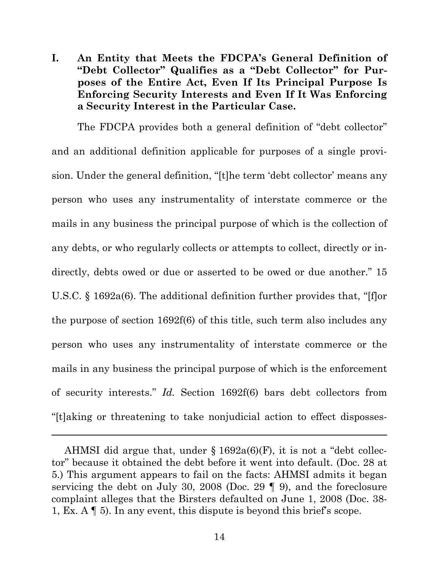**I. An Entity that Meets the FDCPA's General Definition of "Debt Collector" Qualifies as a "Debt Collector" for Purposes of the Entire Act, Even If Its Principal Purpose Is Enforcing Security Interests and Even If It Was Enforcing a Security Interest in the Particular Case.** 

The FDCPA provides both a general definition of "debt collector" and an additional definition applicable for purposes of a single provision. Under the general definition, "[t]he term 'debt collector' means any person who uses any instrumentality of interstate commerce or the mails in any business the principal purpose of which is the collection of any debts, or who regularly collects or attempts to collect, directly or indirectly, debts owed or due or asserted to be owed or due another." 15 U.S.C. § 1692a(6). The additional definition further provides that, "[f]or the purpose of section 1692f(6) of this title, such term also includes any person who uses any instrumentality of interstate commerce or the mails in any business the principal purpose of which is the enforcement of security interests." *Id.* Section 1692f(6) bars debt collectors from "[t]aking or threatening to take nonjudicial action to effect disposses-

 $\overline{a}$ 

AHMSI did argue that, under  $\S 1692a(6)$ (F), it is not a "debt collector" because it obtained the debt before it went into default. (Doc. 28 at 5.) This argument appears to fail on the facts: AHMSI admits it began servicing the debt on July 30, 2008 (Doc. 29 ¶ 9), and the foreclosure complaint alleges that the Birsters defaulted on June 1, 2008 (Doc. 38- 1, Ex. A ¶ 5). In any event, this dispute is beyond this brief's scope.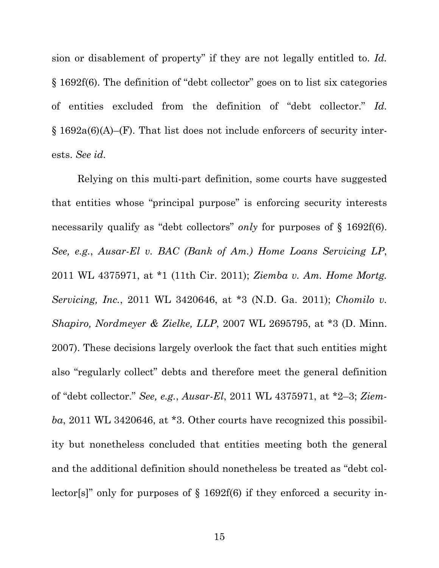sion or disablement of property" if they are not legally entitled to. *Id.* § 1692f(6). The definition of "debt collector" goes on to list six categories of entities excluded from the definition of "debt collector." *Id.*  $\S 1692a(6)$ (A)–(F). That list does not include enforcers of security interests. *See id.*

Relying on this multi-part definition, some courts have suggested that entities whose "principal purpose" is enforcing security interests necessarily qualify as "debt collectors" *only* for purposes of § 1692f(6). *See, e.g.*, *Ausar-El v. BAC (Bank of Am.) Home Loans Servicing LP*, 2011 WL 4375971, at \*1 (11th Cir. 2011); *Ziemba v. Am. Home Mortg. Servicing, Inc.*, 2011 WL 3420646, at \*3 (N.D. Ga. 2011); *Chomilo v. Shapiro, Nordmeyer & Zielke, LLP*, 2007 WL 2695795, at \*3 (D. Minn. 2007). These decisions largely overlook the fact that such entities might also "regularly collect" debts and therefore meet the general definition of "debt collector." *See, e.g.*, *Ausar-El*, 2011 WL 4375971, at \*2–3; *Ziemba*, 2011 WL 3420646, at \*3. Other courts have recognized this possibility but nonetheless concluded that entities meeting both the general and the additional definition should nonetheless be treated as "debt collector[s]" only for purposes of § 1692f(6) if they enforced a security in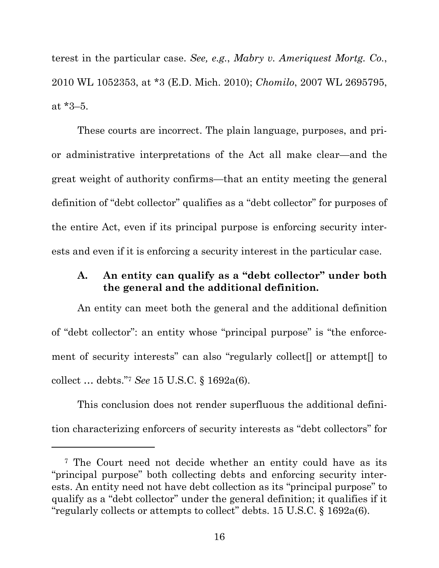terest in the particular case. *See, e.g.*, *Mabry v. Ameriquest Mortg. Co.*, 2010 WL 1052353, at \*3 (E.D. Mich. 2010); *Chomilo*, 2007 WL 2695795, at \*3–5.

These courts are incorrect. The plain language, purposes, and prior administrative interpretations of the Act all make clear—and the great weight of authority confirms—that an entity meeting the general definition of "debt collector" qualifies as a "debt collector" for purposes of the entire Act, even if its principal purpose is enforcing security interests and even if it is enforcing a security interest in the particular case.

### **A. An entity can qualify as a "debt collector" under both the general and the additional definition.**

An entity can meet both the general and the additional definition of "debt collector": an entity whose "principal purpose" is "the enforcement of security interests" can also "regularly collect[] or attempt[] to collect … debts."7 *See* 15 U.S.C. § 1692a(6).

This conclusion does not render superfluous the additional definition characterizing enforcers of security interests as "debt collectors" for

<sup>7</sup> The Court need not decide whether an entity could have as its "principal purpose" both collecting debts and enforcing security interests. An entity need not have debt collection as its "principal purpose" to qualify as a "debt collector" under the general definition; it qualifies if it "regularly collects or attempts to collect" debts. 15 U.S.C. § 1692a(6).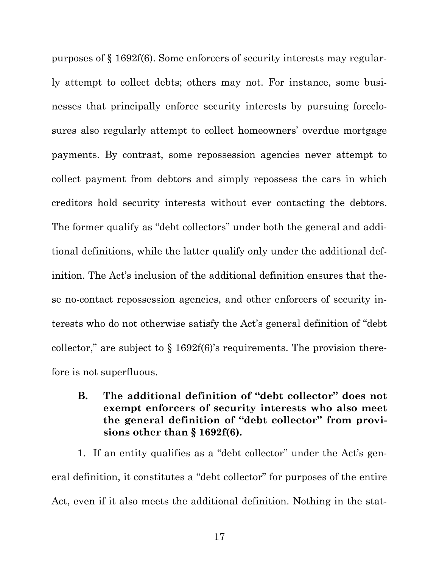purposes of § 1692f(6). Some enforcers of security interests may regularly attempt to collect debts; others may not. For instance, some businesses that principally enforce security interests by pursuing foreclosures also regularly attempt to collect homeowners' overdue mortgage payments. By contrast, some repossession agencies never attempt to collect payment from debtors and simply repossess the cars in which creditors hold security interests without ever contacting the debtors. The former qualify as "debt collectors" under both the general and additional definitions, while the latter qualify only under the additional definition. The Act's inclusion of the additional definition ensures that these no-contact repossession agencies, and other enforcers of security interests who do not otherwise satisfy the Act's general definition of "debt collector," are subject to  $\S 1692f(6)$ 's requirements. The provision therefore is not superfluous.

**B. The additional definition of "debt collector" does not exempt enforcers of security interests who also meet the general definition of "debt collector" from provisions other than § 1692f(6).** 

1. If an entity qualifies as a "debt collector" under the Act's general definition, it constitutes a "debt collector" for purposes of the entire Act, even if it also meets the additional definition. Nothing in the stat-

17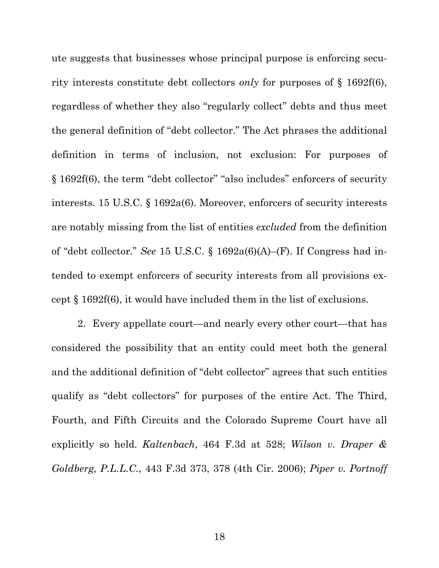ute suggests that businesses whose principal purpose is enforcing security interests constitute debt collectors *only* for purposes of § 1692f(6), regardless of whether they also "regularly collect" debts and thus meet the general definition of "debt collector." The Act phrases the additional definition in terms of inclusion, not exclusion: For purposes of § 1692f(6), the term "debt collector" "also includes" enforcers of security interests. 15 U.S.C. § 1692a(6). Moreover, enforcers of security interests are notably missing from the list of entities *excluded* from the definition of "debt collector." *See* 15 U.S.C. § 1692a(6)(A)–(F). If Congress had intended to exempt enforcers of security interests from all provisions except § 1692f(6), it would have included them in the list of exclusions.

2. Every appellate court—and nearly every other court—that has considered the possibility that an entity could meet both the general and the additional definition of "debt collector" agrees that such entities qualify as "debt collectors" for purposes of the entire Act. The Third, Fourth, and Fifth Circuits and the Colorado Supreme Court have all explicitly so held. *Kaltenbach*, 464 F.3d at 528; *Wilson v. Draper & Goldberg, P.L.L.C.*, 443 F.3d 373, 378 (4th Cir. 2006); *Piper v. Portnoff*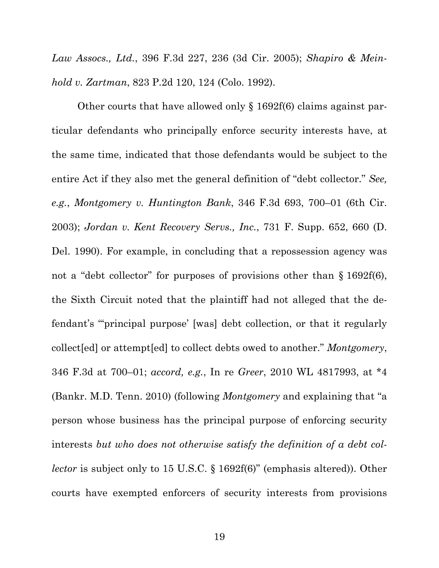*Law Assocs., Ltd.*, 396 F.3d 227, 236 (3d Cir. 2005); *Shapiro & Meinhold v. Zartman*, 823 P.2d 120, 124 (Colo. 1992).

Other courts that have allowed only § 1692f(6) claims against particular defendants who principally enforce security interests have, at the same time, indicated that those defendants would be subject to the entire Act if they also met the general definition of "debt collector." *See, e.g.*, *Montgomery v. Huntington Bank*, 346 F.3d 693, 700–01 (6th Cir. 2003); *Jordan v. Kent Recovery Servs., Inc.*, 731 F. Supp. 652, 660 (D. Del. 1990). For example, in concluding that a repossession agency was not a "debt collector" for purposes of provisions other than § 1692f(6), the Sixth Circuit noted that the plaintiff had not alleged that the defendant's "'principal purpose' [was] debt collection, or that it regularly collect[ed] or attempt[ed] to collect debts owed to another." *Montgomery*, 346 F.3d at 700–01; *accord, e.g.*, In re *Greer*, 2010 WL 4817993, at \*4 (Bankr. M.D. Tenn. 2010) (following *Montgomery* and explaining that "a person whose business has the principal purpose of enforcing security interests *but who does not otherwise satisfy the definition of a debt collector* is subject only to 15 U.S.C. § 1692f(6)" (emphasis altered)). Other courts have exempted enforcers of security interests from provisions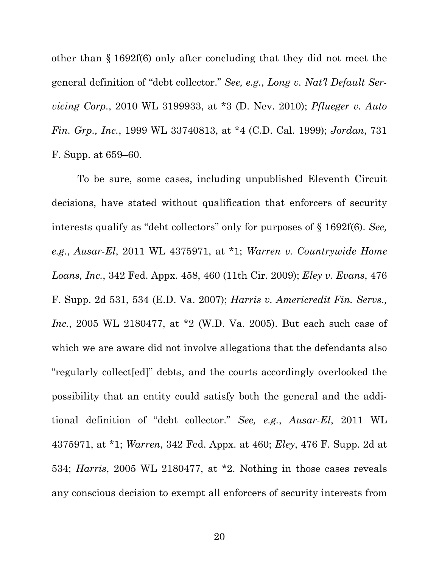other than § 1692f(6) only after concluding that they did not meet the general definition of "debt collector." *See, e.g.*, *Long v. Nat'l Default Servicing Corp.*, 2010 WL 3199933, at \*3 (D. Nev. 2010); *Pflueger v. Auto Fin. Grp., Inc.*, 1999 WL 33740813, at \*4 (C.D. Cal. 1999); *Jordan*, 731 F. Supp. at 659–60.

To be sure, some cases, including unpublished Eleventh Circuit decisions, have stated without qualification that enforcers of security interests qualify as "debt collectors" only for purposes of § 1692f(6). *See, e.g.*, *Ausar-El*, 2011 WL 4375971, at \*1; *Warren v. Countrywide Home Loans, Inc.*, 342 Fed. Appx. 458, 460 (11th Cir. 2009); *Eley v. Evans*, 476 F. Supp. 2d 531, 534 (E.D. Va. 2007); *Harris v. Americredit Fin. Servs., Inc.*, 2005 WL 2180477, at \*2 (W.D. Va. 2005). But each such case of which we are aware did not involve allegations that the defendants also "regularly collect[ed]" debts, and the courts accordingly overlooked the possibility that an entity could satisfy both the general and the additional definition of "debt collector." *See, e.g.*, *Ausar-El*, 2011 WL 4375971, at \*1; *Warren*, 342 Fed. Appx. at 460; *Eley*, 476 F. Supp. 2d at 534; *Harris*, 2005 WL 2180477, at \*2. Nothing in those cases reveals any conscious decision to exempt all enforcers of security interests from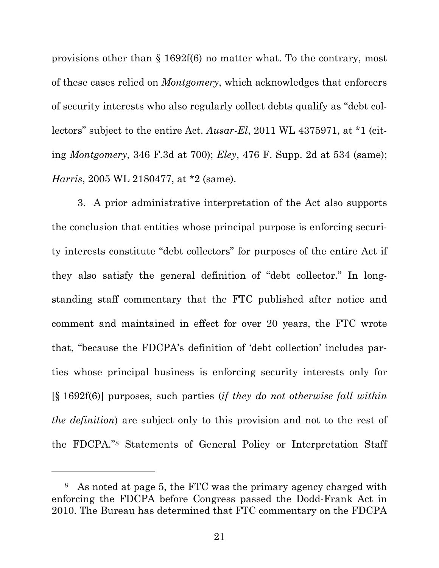provisions other than § 1692f(6) no matter what. To the contrary, most of these cases relied on *Montgomery*, which acknowledges that enforcers of security interests who also regularly collect debts qualify as "debt collectors" subject to the entire Act. *Ausar-El*, 2011 WL 4375971, at \*1 (citing *Montgomery*, 346 F.3d at 700); *Eley*, 476 F. Supp. 2d at 534 (same); *Harris*, 2005 WL 2180477, at \*2 (same).

3. A prior administrative interpretation of the Act also supports the conclusion that entities whose principal purpose is enforcing security interests constitute "debt collectors" for purposes of the entire Act if they also satisfy the general definition of "debt collector." In longstanding staff commentary that the FTC published after notice and comment and maintained in effect for over 20 years, the FTC wrote that, "because the FDCPA's definition of 'debt collection' includes parties whose principal business is enforcing security interests only for [§ 1692f(6)] purposes, such parties (*if they do not otherwise fall within the definition*) are subject only to this provision and not to the rest of the FDCPA."8 Statements of General Policy or Interpretation Staff

 $\overline{a}$ 

<sup>8</sup> As noted at page 5, the FTC was the primary agency charged with enforcing the FDCPA before Congress passed the Dodd-Frank Act in 2010. The Bureau has determined that FTC commentary on the FDCPA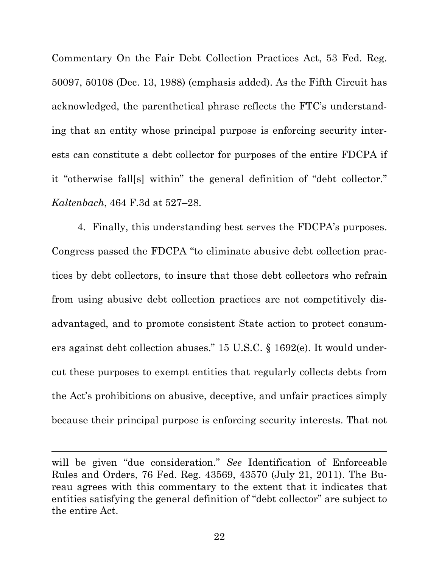Commentary On the Fair Debt Collection Practices Act, 53 Fed. Reg. 50097, 50108 (Dec. 13, 1988) (emphasis added). As the Fifth Circuit has acknowledged, the parenthetical phrase reflects the FTC's understanding that an entity whose principal purpose is enforcing security interests can constitute a debt collector for purposes of the entire FDCPA if it "otherwise fall[s] within" the general definition of "debt collector." *Kaltenbach*, 464 F.3d at 527–28.

4. Finally, this understanding best serves the FDCPA's purposes. Congress passed the FDCPA "to eliminate abusive debt collection practices by debt collectors, to insure that those debt collectors who refrain from using abusive debt collection practices are not competitively disadvantaged, and to promote consistent State action to protect consumers against debt collection abuses." 15 U.S.C. § 1692(e). It would undercut these purposes to exempt entities that regularly collects debts from the Act's prohibitions on abusive, deceptive, and unfair practices simply because their principal purpose is enforcing security interests. That not

will be given "due consideration." *See* Identification of Enforceable Rules and Orders, 76 Fed. Reg. 43569, 43570 (July 21, 2011). The Bureau agrees with this commentary to the extent that it indicates that entities satisfying the general definition of "debt collector" are subject to the entire Act.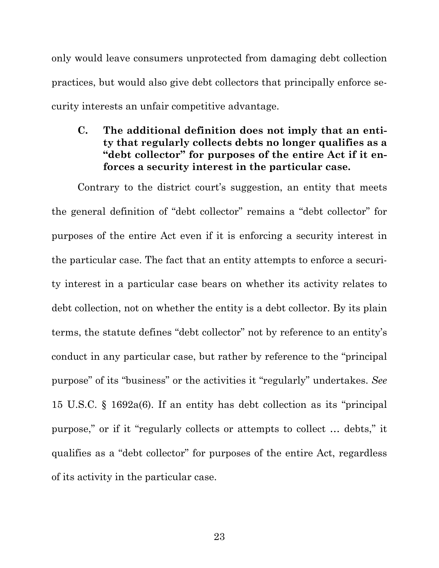only would leave consumers unprotected from damaging debt collection practices, but would also give debt collectors that principally enforce security interests an unfair competitive advantage.

## **C. The additional definition does not imply that an entity that regularly collects debts no longer qualifies as a "debt collector" for purposes of the entire Act if it enforces a security interest in the particular case.**

Contrary to the district court's suggestion, an entity that meets the general definition of "debt collector" remains a "debt collector" for purposes of the entire Act even if it is enforcing a security interest in the particular case. The fact that an entity attempts to enforce a security interest in a particular case bears on whether its activity relates to debt collection, not on whether the entity is a debt collector. By its plain terms, the statute defines "debt collector" not by reference to an entity's conduct in any particular case, but rather by reference to the "principal purpose" of its "business" or the activities it "regularly" undertakes. *See*  15 U.S.C. § 1692a(6). If an entity has debt collection as its "principal purpose," or if it "regularly collects or attempts to collect … debts," it qualifies as a "debt collector" for purposes of the entire Act, regardless of its activity in the particular case.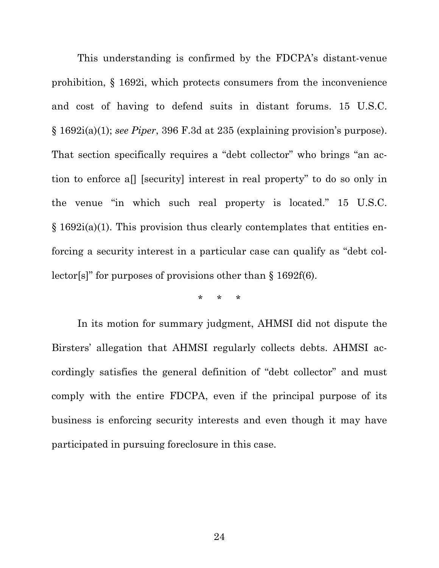This understanding is confirmed by the FDCPA's distant-venue prohibition, § 1692i, which protects consumers from the inconvenience and cost of having to defend suits in distant forums. 15 U.S.C. § 1692i(a)(1); *see Piper*, 396 F.3d at 235 (explaining provision's purpose). That section specifically requires a "debt collector" who brings "an action to enforce a[] [security] interest in real property" to do so only in the venue "in which such real property is located." 15 U.S.C.  $\S 1692i(a)(1)$ . This provision thus clearly contemplates that entities enforcing a security interest in a particular case can qualify as "debt collector[s]" for purposes of provisions other than § 1692f(6).

\* \* \*

In its motion for summary judgment, AHMSI did not dispute the Birsters' allegation that AHMSI regularly collects debts. AHMSI accordingly satisfies the general definition of "debt collector" and must comply with the entire FDCPA, even if the principal purpose of its business is enforcing security interests and even though it may have participated in pursuing foreclosure in this case.

24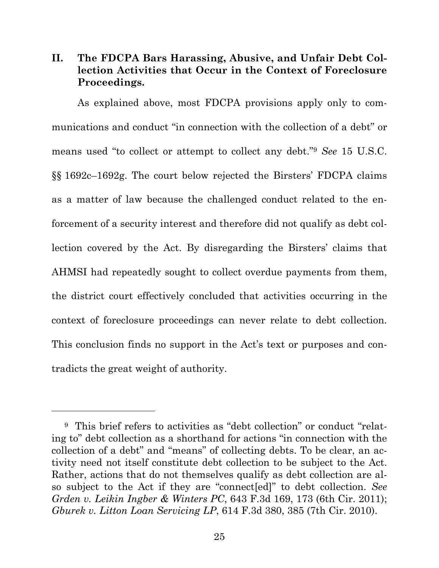## **II. The FDCPA Bars Harassing, Abusive, and Unfair Debt Collection Activities that Occur in the Context of Foreclosure Proceedings.**

As explained above, most FDCPA provisions apply only to communications and conduct "in connection with the collection of a debt" or means used "to collect or attempt to collect any debt."9 *See* 15 U.S.C. §§ 1692c–1692g. The court below rejected the Birsters' FDCPA claims as a matter of law because the challenged conduct related to the enforcement of a security interest and therefore did not qualify as debt collection covered by the Act. By disregarding the Birsters' claims that AHMSI had repeatedly sought to collect overdue payments from them, the district court effectively concluded that activities occurring in the context of foreclosure proceedings can never relate to debt collection. This conclusion finds no support in the Act's text or purposes and contradicts the great weight of authority.

-

<sup>&</sup>lt;sup>9</sup> This brief refers to activities as "debt collection" or conduct "relating to" debt collection as a shorthand for actions "in connection with the collection of a debt" and "means" of collecting debts. To be clear, an activity need not itself constitute debt collection to be subject to the Act. Rather, actions that do not themselves qualify as debt collection are also subject to the Act if they are "connect[ed]" to debt collection. *See Grden v. Leikin Ingber & Winters PC*, 643 F.3d 169, 173 (6th Cir. 2011); *Gburek v. Litton Loan Servicing LP*, 614 F.3d 380, 385 (7th Cir. 2010).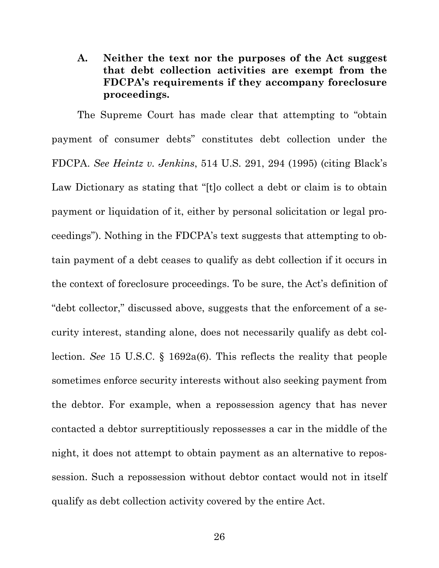**A. Neither the text nor the purposes of the Act suggest that debt collection activities are exempt from the FDCPA's requirements if they accompany foreclosure proceedings.** 

The Supreme Court has made clear that attempting to "obtain payment of consumer debts" constitutes debt collection under the FDCPA. *See Heintz v. Jenkins*, 514 U.S. 291, 294 (1995) (citing Black's Law Dictionary as stating that "[t]o collect a debt or claim is to obtain payment or liquidation of it, either by personal solicitation or legal proceedings"). Nothing in the FDCPA's text suggests that attempting to obtain payment of a debt ceases to qualify as debt collection if it occurs in the context of foreclosure proceedings. To be sure, the Act's definition of "debt collector," discussed above, suggests that the enforcement of a security interest, standing alone, does not necessarily qualify as debt collection. *See* 15 U.S.C. § 1692a(6). This reflects the reality that people sometimes enforce security interests without also seeking payment from the debtor. For example, when a repossession agency that has never contacted a debtor surreptitiously repossesses a car in the middle of the night, it does not attempt to obtain payment as an alternative to repossession. Such a repossession without debtor contact would not in itself qualify as debt collection activity covered by the entire Act.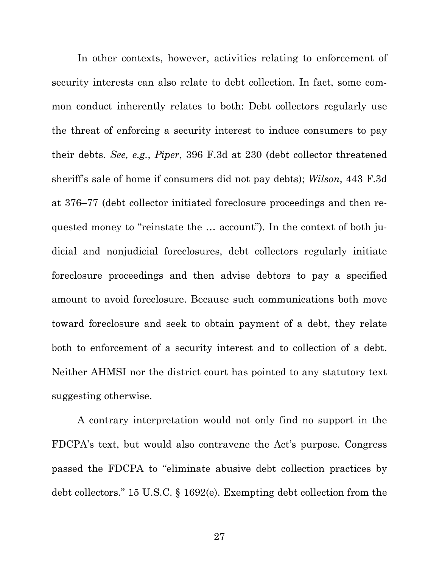In other contexts, however, activities relating to enforcement of security interests can also relate to debt collection. In fact, some common conduct inherently relates to both: Debt collectors regularly use the threat of enforcing a security interest to induce consumers to pay their debts. *See, e.g.*, *Piper*, 396 F.3d at 230 (debt collector threatened sheriff's sale of home if consumers did not pay debts); *Wilson*, 443 F.3d at 376–77 (debt collector initiated foreclosure proceedings and then requested money to "reinstate the … account"). In the context of both judicial and nonjudicial foreclosures, debt collectors regularly initiate foreclosure proceedings and then advise debtors to pay a specified amount to avoid foreclosure. Because such communications both move toward foreclosure and seek to obtain payment of a debt, they relate both to enforcement of a security interest and to collection of a debt. Neither AHMSI nor the district court has pointed to any statutory text suggesting otherwise.

A contrary interpretation would not only find no support in the FDCPA's text, but would also contravene the Act's purpose. Congress passed the FDCPA to "eliminate abusive debt collection practices by debt collectors." 15 U.S.C. § 1692(e). Exempting debt collection from the

27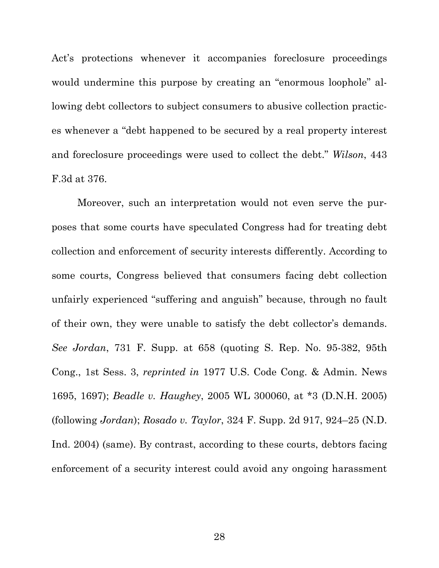Act's protections whenever it accompanies foreclosure proceedings would undermine this purpose by creating an "enormous loophole" allowing debt collectors to subject consumers to abusive collection practices whenever a "debt happened to be secured by a real property interest and foreclosure proceedings were used to collect the debt." *Wilson*, 443 F.3d at 376.

Moreover, such an interpretation would not even serve the purposes that some courts have speculated Congress had for treating debt collection and enforcement of security interests differently. According to some courts, Congress believed that consumers facing debt collection unfairly experienced "suffering and anguish" because, through no fault of their own, they were unable to satisfy the debt collector's demands. *See Jordan*, 731 F. Supp. at 658 (quoting S. Rep. No. 95-382, 95th Cong., 1st Sess. 3, *reprinted in* 1977 U.S. Code Cong. & Admin. News 1695, 1697); *Beadle v. Haughey*, 2005 WL 300060, at \*3 (D.N.H. 2005) (following *Jordan*); *Rosado v. Taylor*, 324 F. Supp. 2d 917, 924–25 (N.D. Ind. 2004) (same). By contrast, according to these courts, debtors facing enforcement of a security interest could avoid any ongoing harassment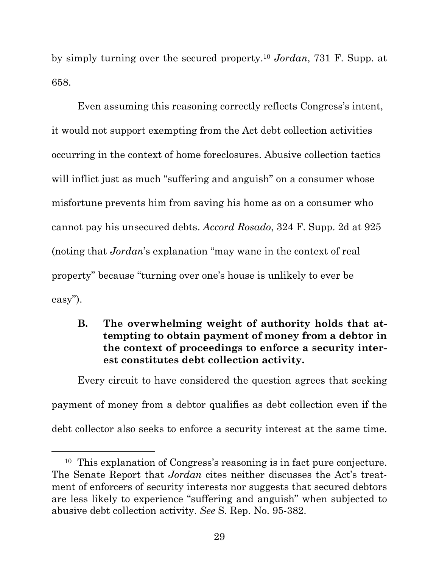by simply turning over the secured property.10 *Jordan*, 731 F. Supp. at 658.

Even assuming this reasoning correctly reflects Congress's intent, it would not support exempting from the Act debt collection activities occurring in the context of home foreclosures. Abusive collection tactics will inflict just as much "suffering and anguish" on a consumer whose misfortune prevents him from saving his home as on a consumer who cannot pay his unsecured debts. *Accord Rosado*, 324 F. Supp. 2d at 925 (noting that *Jordan*'s explanation "may wane in the context of real property" because "turning over one's house is unlikely to ever be easy").

## **B. The overwhelming weight of authority holds that attempting to obtain payment of money from a debtor in the context of proceedings to enforce a security interest constitutes debt collection activity.**

Every circuit to have considered the question agrees that seeking payment of money from a debtor qualifies as debt collection even if the debt collector also seeks to enforce a security interest at the same time.

 <sup>10</sup> This explanation of Congress's reasoning is in fact pure conjecture. The Senate Report that *Jordan* cites neither discusses the Act's treatment of enforcers of security interests nor suggests that secured debtors are less likely to experience "suffering and anguish" when subjected to abusive debt collection activity. *See* S. Rep. No. 95-382.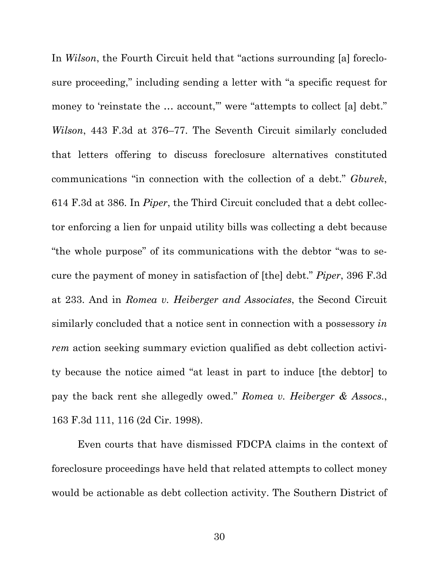In *Wilson*, the Fourth Circuit held that "actions surrounding [a] foreclosure proceeding," including sending a letter with "a specific request for money to 'reinstate the ... account," were "attempts to collect [a] debt." *Wilson*, 443 F.3d at 376–77. The Seventh Circuit similarly concluded that letters offering to discuss foreclosure alternatives constituted communications "in connection with the collection of a debt." *Gburek*, 614 F.3d at 386. In *Piper*, the Third Circuit concluded that a debt collector enforcing a lien for unpaid utility bills was collecting a debt because "the whole purpose" of its communications with the debtor "was to secure the payment of money in satisfaction of [the] debt." *Piper*, 396 F.3d at 233. And in *Romea v. Heiberger and Associates*, the Second Circuit similarly concluded that a notice sent in connection with a possessory *in rem* action seeking summary eviction qualified as debt collection activity because the notice aimed "at least in part to induce [the debtor] to pay the back rent she allegedly owed." *Romea v. Heiberger & Assocs.*, 163 F.3d 111, 116 (2d Cir. 1998).

Even courts that have dismissed FDCPA claims in the context of foreclosure proceedings have held that related attempts to collect money would be actionable as debt collection activity. The Southern District of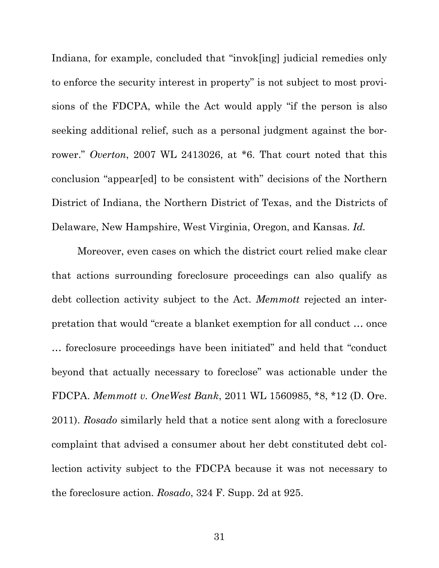Indiana, for example, concluded that "invok[ing] judicial remedies only to enforce the security interest in property" is not subject to most provisions of the FDCPA, while the Act would apply "if the person is also seeking additional relief, such as a personal judgment against the borrower." *Overton*, 2007 WL 2413026, at \*6. That court noted that this conclusion "appear[ed] to be consistent with" decisions of the Northern District of Indiana, the Northern District of Texas, and the Districts of Delaware, New Hampshire, West Virginia, Oregon, and Kansas. *Id.*

Moreover, even cases on which the district court relied make clear that actions surrounding foreclosure proceedings can also qualify as debt collection activity subject to the Act. *Memmott* rejected an interpretation that would "create a blanket exemption for all conduct … once … foreclosure proceedings have been initiated" and held that "conduct beyond that actually necessary to foreclose" was actionable under the FDCPA. *Memmott v. OneWest Bank*, 2011 WL 1560985, \*8, \*12 (D. Ore. 2011). *Rosado* similarly held that a notice sent along with a foreclosure complaint that advised a consumer about her debt constituted debt collection activity subject to the FDCPA because it was not necessary to the foreclosure action. *Rosado*, 324 F. Supp. 2d at 925.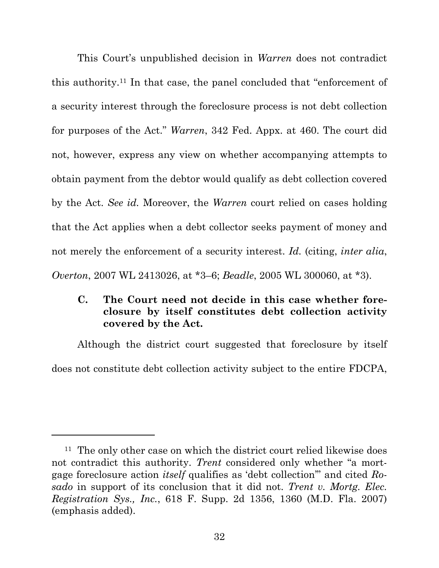This Court's unpublished decision in *Warren* does not contradict this authority.11 In that case, the panel concluded that "enforcement of a security interest through the foreclosure process is not debt collection for purposes of the Act." *Warren*, 342 Fed. Appx. at 460. The court did not, however, express any view on whether accompanying attempts to obtain payment from the debtor would qualify as debt collection covered by the Act. *See id.* Moreover, the *Warren* court relied on cases holding that the Act applies when a debt collector seeks payment of money and not merely the enforcement of a security interest. *Id.* (citing, *inter alia*, *Overton*, 2007 WL 2413026, at \*3–6; *Beadle*, 2005 WL 300060, at \*3).

## **C. The Court need not decide in this case whether foreclosure by itself constitutes debt collection activity covered by the Act.**

Although the district court suggested that foreclosure by itself does not constitute debt collection activity subject to the entire FDCPA,

<sup>&</sup>lt;sup>11</sup> The only other case on which the district court relied likewise does not contradict this authority. *Trent* considered only whether "a mortgage foreclosure action *itself* qualifies as 'debt collection'" and cited *Rosado* in support of its conclusion that it did not. *Trent v. Mortg. Elec. Registration Sys., Inc.*, 618 F. Supp. 2d 1356, 1360 (M.D. Fla. 2007) (emphasis added).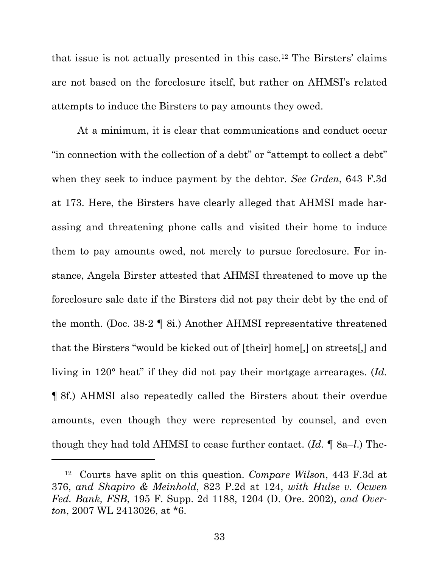that issue is not actually presented in this case.12 The Birsters' claims are not based on the foreclosure itself, but rather on AHMSI's related attempts to induce the Birsters to pay amounts they owed.

At a minimum, it is clear that communications and conduct occur "in connection with the collection of a debt" or "attempt to collect a debt" when they seek to induce payment by the debtor. *See Grden*, 643 F.3d at 173. Here, the Birsters have clearly alleged that AHMSI made harassing and threatening phone calls and visited their home to induce them to pay amounts owed, not merely to pursue foreclosure. For instance, Angela Birster attested that AHMSI threatened to move up the foreclosure sale date if the Birsters did not pay their debt by the end of the month. (Doc. 38-2 ¶ 8i.) Another AHMSI representative threatened that the Birsters "would be kicked out of [their] home[,] on streets[,] and living in 120° heat" if they did not pay their mortgage arrearages. (*Id.* ¶ 8f.) AHMSI also repeatedly called the Birsters about their overdue amounts, even though they were represented by counsel, and even though they had told AHMSI to cease further contact. (*Id.* ¶ 8a–*l*.) The-

 $\overline{a}$ 

<sup>12</sup> Courts have split on this question. *Compare Wilson*, 443 F.3d at 376, *and Shapiro & Meinhold*, 823 P.2d at 124, *with Hulse v. Ocwen Fed. Bank, FSB*, 195 F. Supp. 2d 1188, 1204 (D. Ore. 2002), *and Overton*, 2007 WL 2413026, at \*6.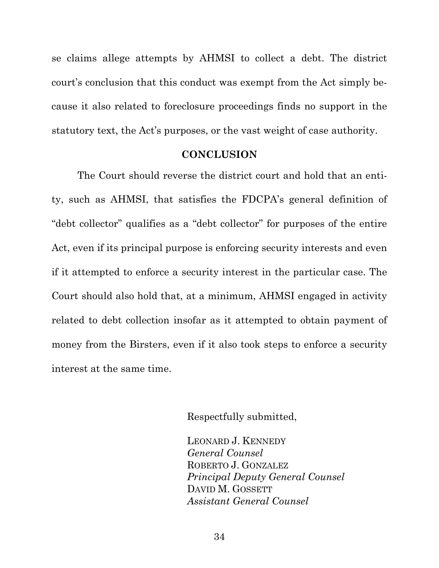se claims allege attempts by AHMSI to collect a debt. The district court's conclusion that this conduct was exempt from the Act simply because it also related to foreclosure proceedings finds no support in the statutory text, the Act's purposes, or the vast weight of case authority.

### **CONCLUSION**

The Court should reverse the district court and hold that an entity, such as AHMSI, that satisfies the FDCPA's general definition of "debt collector" qualifies as a "debt collector" for purposes of the entire Act, even if its principal purpose is enforcing security interests and even if it attempted to enforce a security interest in the particular case. The Court should also hold that, at a minimum, AHMSI engaged in activity related to debt collection insofar as it attempted to obtain payment of money from the Birsters, even if it also took steps to enforce a security interest at the same time.

Respectfully submitted,

LEONARD J. KENNEDY *General Counsel*  ROBERTO J. GONZALEZ *Principal Deputy General Counsel*  DAVID M. GOSSETT *Assistant General Counsel*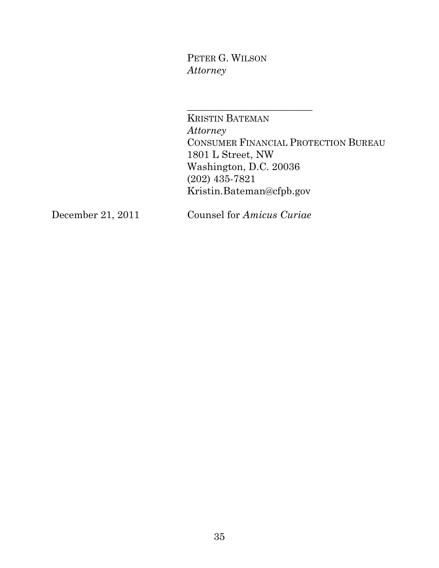PETER G. WILSON *Attorney* 

KRISTIN BATEMAN *Attorney*  CONSUMER FINANCIAL PROTECTION BUREAU 1801 L Street, NW Washington, D.C. 20036 (202) 435-7821 Kristin.Bateman@cfpb.gov

December 21, 2011 Counsel for *Amicus Curiae* 

\_\_\_\_\_\_\_\_\_\_\_\_\_\_\_\_\_\_\_\_\_\_\_\_\_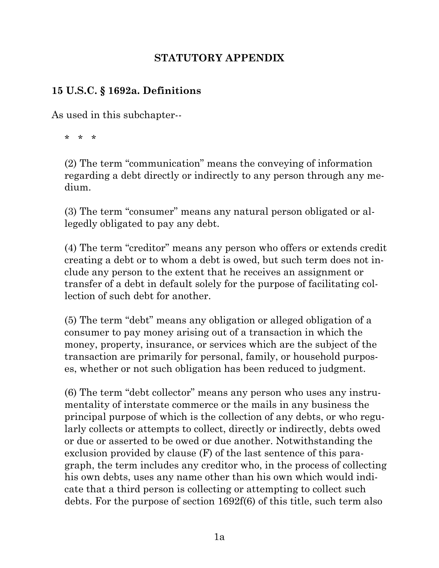## **STATUTORY APPENDIX**

## **15 U.S.C. § 1692a. Definitions**

As used in this subchapter--

\* \* \*

(2) The term "communication" means the conveying of information regarding a debt directly or indirectly to any person through any medium.

(3) The term "consumer" means any natural person obligated or allegedly obligated to pay any debt.

(4) The term "creditor" means any person who offers or extends credit creating a debt or to whom a debt is owed, but such term does not include any person to the extent that he receives an assignment or transfer of a debt in default solely for the purpose of facilitating collection of such debt for another.

(5) The term "debt" means any obligation or alleged obligation of a consumer to pay money arising out of a transaction in which the money, property, insurance, or services which are the subject of the transaction are primarily for personal, family, or household purposes, whether or not such obligation has been reduced to judgment.

(6) The term "debt collector" means any person who uses any instrumentality of interstate commerce or the mails in any business the principal purpose of which is the collection of any debts, or who regularly collects or attempts to collect, directly or indirectly, debts owed or due or asserted to be owed or due another. Notwithstanding the exclusion provided by clause (F) of the last sentence of this paragraph, the term includes any creditor who, in the process of collecting his own debts, uses any name other than his own which would indicate that a third person is collecting or attempting to collect such debts. For the purpose of section 1692f(6) of this title, such term also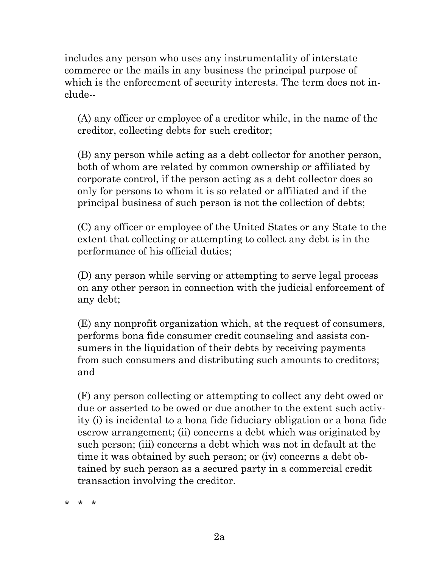includes any person who uses any instrumentality of interstate commerce or the mails in any business the principal purpose of which is the enforcement of security interests. The term does not include--

(A) any officer or employee of a creditor while, in the name of the creditor, collecting debts for such creditor;

(B) any person while acting as a debt collector for another person, both of whom are related by common ownership or affiliated by corporate control, if the person acting as a debt collector does so only for persons to whom it is so related or affiliated and if the principal business of such person is not the collection of debts;

(C) any officer or employee of the United States or any State to the extent that collecting or attempting to collect any debt is in the performance of his official duties;

(D) any person while serving or attempting to serve legal process on any other person in connection with the judicial enforcement of any debt;

(E) any nonprofit organization which, at the request of consumers, performs bona fide consumer credit counseling and assists consumers in the liquidation of their debts by receiving payments from such consumers and distributing such amounts to creditors; and

(F) any person collecting or attempting to collect any debt owed or due or asserted to be owed or due another to the extent such activity (i) is incidental to a bona fide fiduciary obligation or a bona fide escrow arrangement; (ii) concerns a debt which was originated by such person; (iii) concerns a debt which was not in default at the time it was obtained by such person; or (iv) concerns a debt obtained by such person as a secured party in a commercial credit transaction involving the creditor.

\* \* \*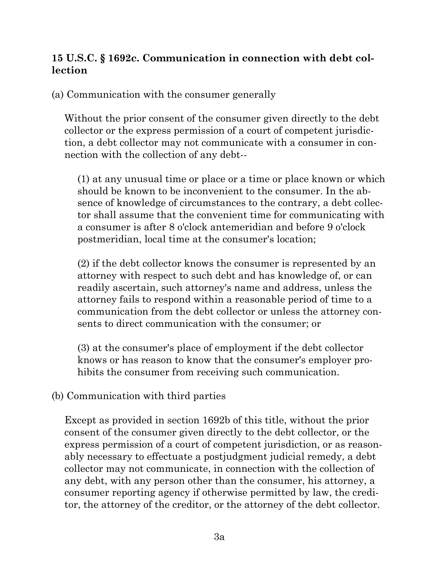## **15 U.S.C. § 1692c. Communication in connection with debt collection**

(a) Communication with the consumer generally

Without the prior consent of the consumer given directly to the debt collector or the express permission of a court of competent jurisdiction, a debt collector may not communicate with a consumer in connection with the collection of any debt--

(1) at any unusual time or place or a time or place known or which should be known to be inconvenient to the consumer. In the absence of knowledge of circumstances to the contrary, a debt collector shall assume that the convenient time for communicating with a consumer is after 8 o'clock antemeridian and before 9 o'clock postmeridian, local time at the consumer's location;

(2) if the debt collector knows the consumer is represented by an attorney with respect to such debt and has knowledge of, or can readily ascertain, such attorney's name and address, unless the attorney fails to respond within a reasonable period of time to a communication from the debt collector or unless the attorney consents to direct communication with the consumer; or

(3) at the consumer's place of employment if the debt collector knows or has reason to know that the consumer's employer prohibits the consumer from receiving such communication.

## (b) Communication with third parties

Except as provided in section 1692b of this title, without the prior consent of the consumer given directly to the debt collector, or the express permission of a court of competent jurisdiction, or as reasonably necessary to effectuate a postjudgment judicial remedy, a debt collector may not communicate, in connection with the collection of any debt, with any person other than the consumer, his attorney, a consumer reporting agency if otherwise permitted by law, the creditor, the attorney of the creditor, or the attorney of the debt collector.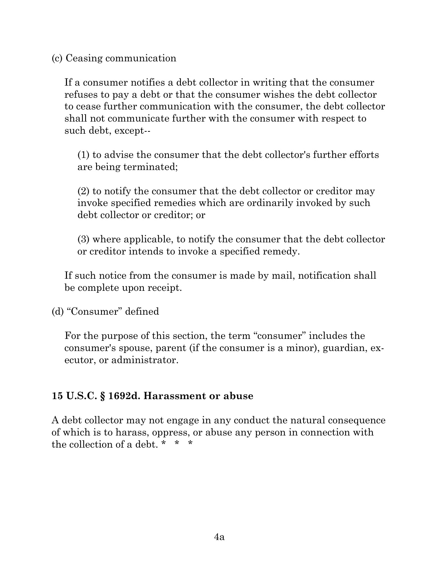(c) Ceasing communication

If a consumer notifies a debt collector in writing that the consumer refuses to pay a debt or that the consumer wishes the debt collector to cease further communication with the consumer, the debt collector shall not communicate further with the consumer with respect to such debt, except--

(1) to advise the consumer that the debt collector's further efforts are being terminated;

(2) to notify the consumer that the debt collector or creditor may invoke specified remedies which are ordinarily invoked by such debt collector or creditor; or

(3) where applicable, to notify the consumer that the debt collector or creditor intends to invoke a specified remedy.

If such notice from the consumer is made by mail, notification shall be complete upon receipt.

(d) "Consumer" defined

For the purpose of this section, the term "consumer" includes the consumer's spouse, parent (if the consumer is a minor), guardian, executor, or administrator.

## **15 U.S.C. § 1692d. Harassment or abuse**

A debt collector may not engage in any conduct the natural consequence of which is to harass, oppress, or abuse any person in connection with the collection of a debt. \* \* \*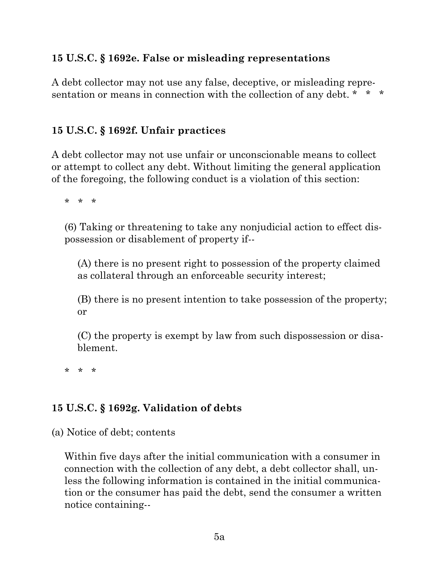## **15 U.S.C. § 1692e. False or misleading representations**

A debt collector may not use any false, deceptive, or misleading representation or means in connection with the collection of any debt. \* \* \*

## **15 U.S.C. § 1692f. Unfair practices**

A debt collector may not use unfair or unconscionable means to collect or attempt to collect any debt. Without limiting the general application of the foregoing, the following conduct is a violation of this section:

\* \* \*

(6) Taking or threatening to take any nonjudicial action to effect dispossession or disablement of property if--

(A) there is no present right to possession of the property claimed as collateral through an enforceable security interest;

(B) there is no present intention to take possession of the property; or

(C) the property is exempt by law from such dispossession or disablement.

\* \* \*

## **15 U.S.C. § 1692g. Validation of debts**

(a) Notice of debt; contents

Within five days after the initial communication with a consumer in connection with the collection of any debt, a debt collector shall, unless the following information is contained in the initial communication or the consumer has paid the debt, send the consumer a written notice containing--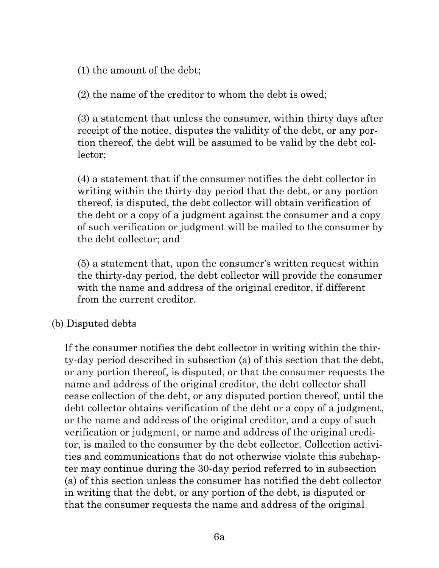(1) the amount of the debt;

(2) the name of the creditor to whom the debt is owed;

(3) a statement that unless the consumer, within thirty days after receipt of the notice, disputes the validity of the debt, or any portion thereof, the debt will be assumed to be valid by the debt collector;

(4) a statement that if the consumer notifies the debt collector in writing within the thirty-day period that the debt, or any portion thereof, is disputed, the debt collector will obtain verification of the debt or a copy of a judgment against the consumer and a copy of such verification or judgment will be mailed to the consumer by the debt collector; and

(5) a statement that, upon the consumer's written request within the thirty-day period, the debt collector will provide the consumer with the name and address of the original creditor, if different from the current creditor.

(b) Disputed debts

If the consumer notifies the debt collector in writing within the thirty-day period described in subsection (a) of this section that the debt, or any portion thereof, is disputed, or that the consumer requests the name and address of the original creditor, the debt collector shall cease collection of the debt, or any disputed portion thereof, until the debt collector obtains verification of the debt or a copy of a judgment, or the name and address of the original creditor, and a copy of such verification or judgment, or name and address of the original creditor, is mailed to the consumer by the debt collector. Collection activities and communications that do not otherwise violate this subchapter may continue during the 30-day period referred to in subsection (a) of this section unless the consumer has notified the debt collector in writing that the debt, or any portion of the debt, is disputed or that the consumer requests the name and address of the original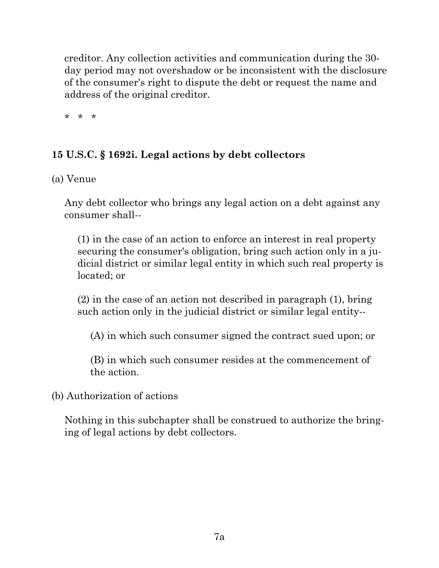creditor. Any collection activities and communication during the 30 day period may not overshadow or be inconsistent with the disclosure of the consumer's right to dispute the debt or request the name and address of the original creditor.

\* \* \*

# **15 U.S.C. § 1692i. Legal actions by debt collectors**

(a) Venue

Any debt collector who brings any legal action on a debt against any consumer shall--

(1) in the case of an action to enforce an interest in real property securing the consumer's obligation, bring such action only in a judicial district or similar legal entity in which such real property is located; or

(2) in the case of an action not described in paragraph (1), bring such action only in the judicial district or similar legal entity--

(A) in which such consumer signed the contract sued upon; or

(B) in which such consumer resides at the commencement of the action.

(b) Authorization of actions

Nothing in this subchapter shall be construed to authorize the bringing of legal actions by debt collectors.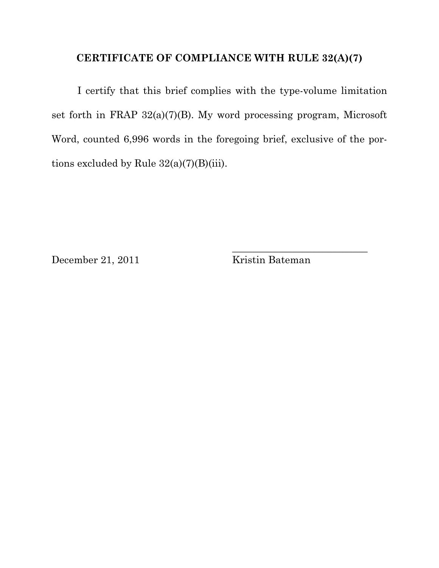### **CERTIFICATE OF COMPLIANCE WITH RULE 32(A)(7)**

 I certify that this brief complies with the type-volume limitation set forth in FRAP 32(a)(7)(B). My word processing program, Microsoft Word, counted 6,996 words in the foregoing brief, exclusive of the portions excluded by Rule 32(a)(7)(B)(iii).

December 21, 2011 Kristin Bateman

**\_\_\_\_\_\_\_\_\_\_\_\_\_\_\_\_\_\_\_\_\_\_\_\_\_\_\_**